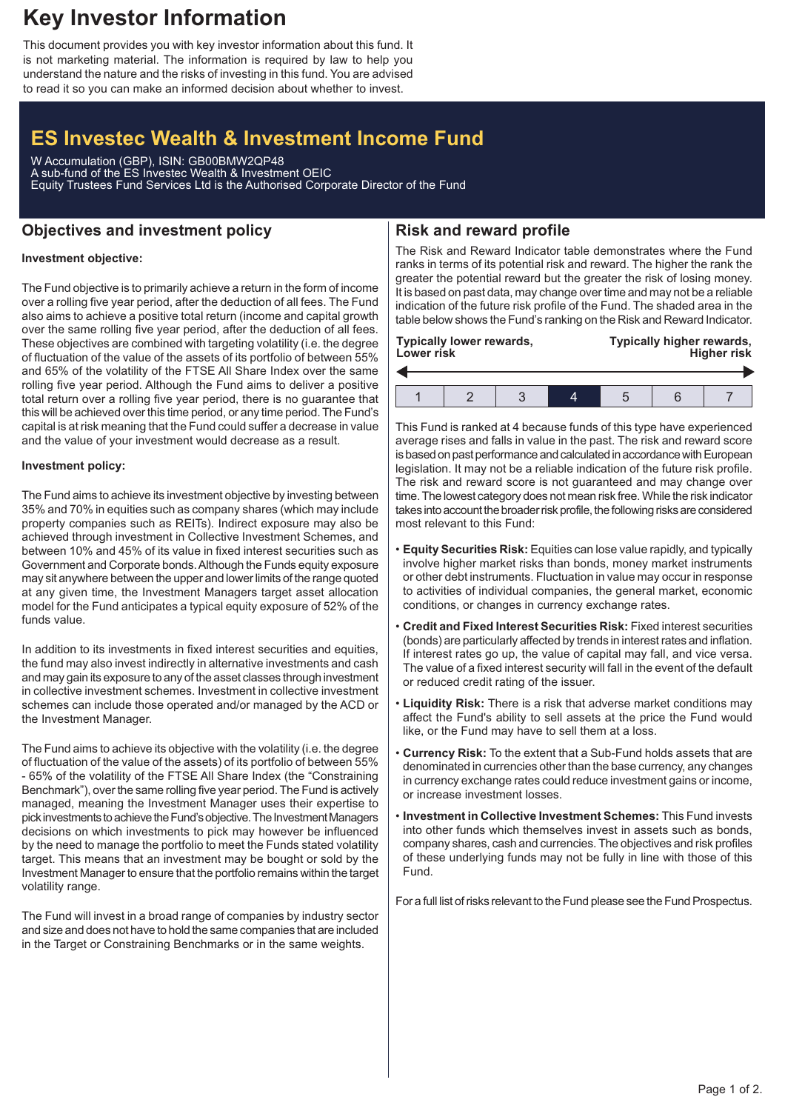# **Key Investor Information**

This document provides you with key investor information about this fund. It is not marketing material. The information is required by law to help you understand the nature and the risks of investing in this fund. You are advised to read it so you can make an informed decision about whether to invest.

# **ES Investec Wealth & Investment Income Fund**

W Accumulation (GBP), ISIN: GB00BMW2QP48 A sub-fund of the ES Investec Wealth & Investment OEIC Equity Trustees Fund Services Ltd is the Authorised Corporate Director of the Fund

# **Objectives and investment policy**

## **Risk and reward profile**

#### **Investment objective:**

The Fund objective is to primarily achieve a return in the form of income over a rolling five year period, after the deduction of all fees. The Fund also aims to achieve a positive total return (income and capital growth over the same rolling five year period, after the deduction of all fees. These objectives are combined with targeting volatility (i.e. the degree of fluctuation of the value of the assets of its portfolio of between 55% and 65% of the volatility of the FTSE All Share Index over the same rolling five year period. Although the Fund aims to deliver a positive total return over a rolling five year period, there is no guarantee that this will be achieved over this time period, or any time period. The Fund's capital is at risk meaning that the Fund could suffer a decrease in value and the value of your investment would decrease as a result.

#### **Investment policy:**

The Fund aims to achieve its investment objective by investing between 35% and 70% in equities such as company shares (which may include property companies such as REITs). Indirect exposure may also be achieved through investment in Collective Investment Schemes, and between 10% and 45% of its value in fixed interest securities such as Government and Corporate bonds.Although the Funds equity exposure may sit anywhere between the upper and lower limits of the range quoted at any given time, the Investment Managers target asset allocation model for the Fund anticipates a typical equity exposure of 52% of the funds value.

In addition to its investments in fixed interest securities and equities, the fund may also invest indirectly in alternative investments and cash and may gain its exposure to any of the asset classes through investment in collective investment schemes. Investment in collective investment schemes can include those operated and/or managed by the ACD or the Investment Manager.

The Fund aims to achieve its objective with the volatility (i.e. the degree of fluctuation of the value of the assets) of its portfolio of between 55% - 65% of the volatility of the FTSE All Share Index (the "Constraining Benchmark"), over the same rolling five year period. The Fund is actively managed, meaning the Investment Manager uses their expertise to pick investments to achieve the Fund's objective. The Investment Managers decisions on which investments to pick may however be influenced by the need to manage the portfolio to meet the Funds stated volatility target. This means that an investment may be bought or sold by the Investment Manager to ensure that the portfolio remains within the target volatility range.

The Fund will invest in a broad range of companies by industry sector and size and does not have to hold the same companies that are included in the Target or Constraining Benchmarks or in the same weights.

The Risk and Reward Indicator table demonstrates where the Fund ranks in terms of its potential risk and reward. The higher the rank the greater the potential reward but the greater the risk of losing money. It is based on past data, may change over time and may not be a reliable indication of the future risk profile of the Fund. The shaded area in the table below shows the Fund's ranking on the Risk and Reward Indicator.

| <b>Lower risk</b> | <b>Typically lower rewards,</b> |  | Typically higher rewards,<br><b>Higher risk</b> |  |  |  |  |
|-------------------|---------------------------------|--|-------------------------------------------------|--|--|--|--|
|                   |                                 |  |                                                 |  |  |  |  |
|                   |                                 |  |                                                 |  |  |  |  |

This Fund is ranked at 4 because funds of this type have experienced average rises and falls in value in the past. The risk and reward score is based on past performance and calculated in accordance with European legislation. It may not be a reliable indication of the future risk profile. The risk and reward score is not guaranteed and may change over time. The lowest category does not mean risk free.While the risk indicator takes into account the broader risk profile, the following risks are considered most relevant to this Fund:

- **Equity Securities Risk:** Equities can lose value rapidly, and typically involve higher market risks than bonds, money market instruments or other debt instruments. Fluctuation in value may occur in response to activities of individual companies, the general market, economic conditions, or changes in currency exchange rates.
- **Credit and Fixed Interest Securities Risk:** Fixed interest securities (bonds) are particularly affected by trends in interest rates and inflation. If interest rates go up, the value of capital may fall, and vice versa. The value of a fixed interest security will fall in the event of the default or reduced credit rating of the issuer.
- **Liquidity Risk:** There is a risk that adverse market conditions may affect the Fund's ability to sell assets at the price the Fund would like, or the Fund may have to sell them at a loss.
- **Currency Risk:** To the extent that a Sub-Fund holds assets that are denominated in currencies other than the base currency, any changes in currency exchange rates could reduce investment gains or income, or increase investment losses.
- **Investment in Collective Investment Schemes:** This Fund invests into other funds which themselves invest in assets such as bonds, company shares, cash and currencies. The objectives and risk profiles of these underlying funds may not be fully in line with those of this Fund.

For a full list of risks relevant to the Fund please see the Fund Prospectus.